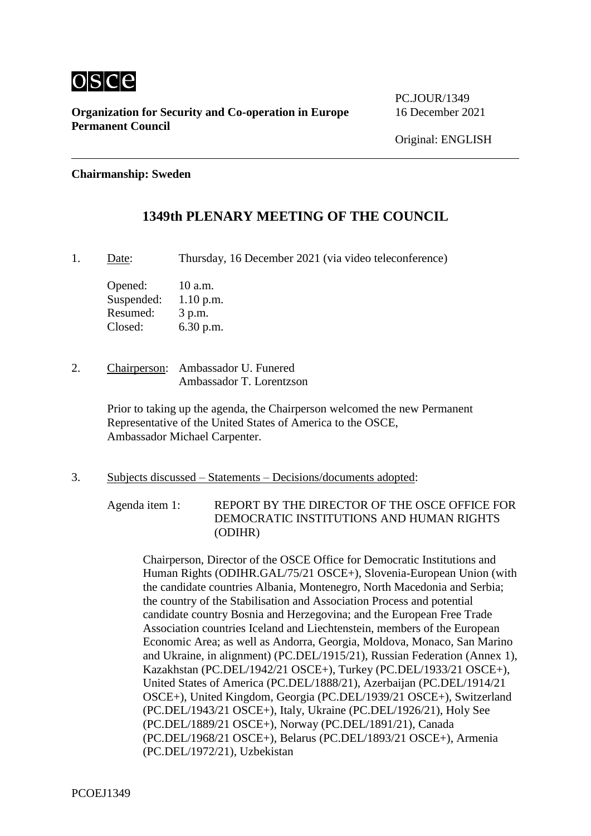

**PC.IOUR/1349** 

### **Chairmanship: Sweden**

## **1349th PLENARY MEETING OF THE COUNCIL**

1. Date: Thursday, 16 December 2021 (via video teleconference)

Opened: 10 a.m. Suspended: 1.10 p.m. Resumed: 3 p.m. Closed: 6.30 p.m.

2. Chairperson: Ambassador U. Funered Ambassador T. Lorentzson

> Prior to taking up the agenda, the Chairperson welcomed the new Permanent Representative of the United States of America to the OSCE, Ambassador Michael Carpenter.

3. Subjects discussed – Statements – Decisions/documents adopted:

Agenda item 1: REPORT BY THE DIRECTOR OF THE OSCE OFFICE FOR DEMOCRATIC INSTITUTIONS AND HUMAN RIGHTS (ODIHR)

Chairperson, Director of the OSCE Office for Democratic Institutions and Human Rights (ODIHR.GAL/75/21 OSCE+), Slovenia-European Union (with the candidate countries Albania, Montenegro, North Macedonia and Serbia; the country of the Stabilisation and Association Process and potential candidate country Bosnia and Herzegovina; and the European Free Trade Association countries Iceland and Liechtenstein, members of the European Economic Area; as well as Andorra, Georgia, Moldova, Monaco, San Marino and Ukraine, in alignment) (PC.DEL/1915/21), Russian Federation (Annex 1), Kazakhstan (PC.DEL/1942/21 OSCE+), Turkey (PC.DEL/1933/21 OSCE+), United States of America (PC.DEL/1888/21), Azerbaijan (PC.DEL/1914/21 OSCE+), United Kingdom, Georgia (PC.DEL/1939/21 OSCE+), Switzerland (PC.DEL/1943/21 OSCE+), Italy, Ukraine (PC.DEL/1926/21), Holy See (PC.DEL/1889/21 OSCE+), Norway (PC.DEL/1891/21), Canada (PC.DEL/1968/21 OSCE+), Belarus (PC.DEL/1893/21 OSCE+), Armenia (PC.DEL/1972/21), Uzbekistan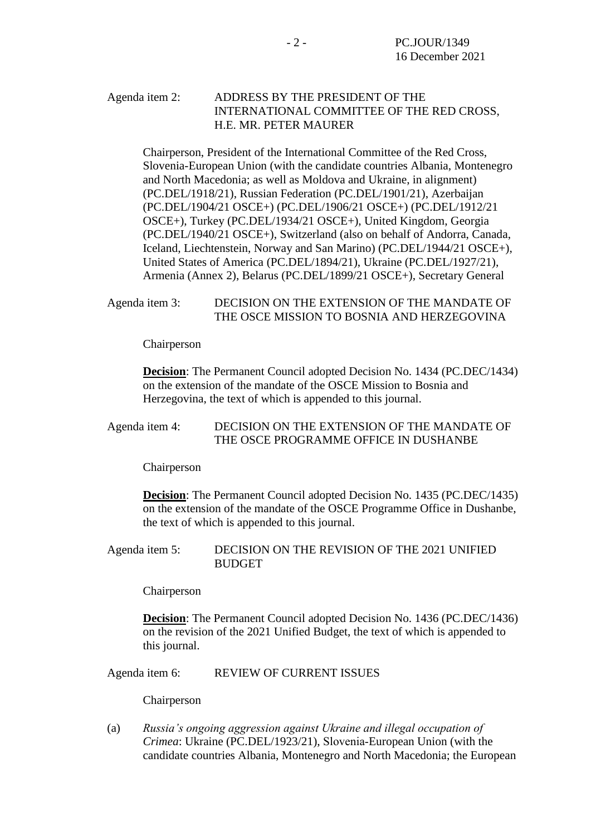### Agenda item 2: ADDRESS BY THE PRESIDENT OF THE INTERNATIONAL COMMITTEE OF THE RED CROSS, H.E. MR. PETER MAURER

Chairperson, President of the International Committee of the Red Cross, Slovenia-European Union (with the candidate countries Albania, Montenegro and North Macedonia; as well as Moldova and Ukraine, in alignment) (PC.DEL/1918/21), Russian Federation (PC.DEL/1901/21), Azerbaijan (PC.DEL/1904/21 OSCE+) (PC.DEL/1906/21 OSCE+) (PC.DEL/1912/21 OSCE+), Turkey (PC.DEL/1934/21 OSCE+), United Kingdom, Georgia (PC.DEL/1940/21 OSCE+), Switzerland (also on behalf of Andorra, Canada, Iceland, Liechtenstein, Norway and San Marino) (PC.DEL/1944/21 OSCE+), United States of America (PC.DEL/1894/21), Ukraine (PC.DEL/1927/21), Armenia (Annex 2), Belarus (PC.DEL/1899/21 OSCE+), Secretary General

### Agenda item 3: DECISION ON THE EXTENSION OF THE MANDATE OF THE OSCE MISSION TO BOSNIA AND HERZEGOVINA

Chairperson

**Decision**: The Permanent Council adopted Decision No. 1434 (PC.DEC/1434) on the extension of the mandate of the OSCE Mission to Bosnia and Herzegovina, the text of which is appended to this journal.

### Agenda item 4: DECISION ON THE EXTENSION OF THE MANDATE OF THE OSCE PROGRAMME OFFICE IN DUSHANBE

Chairperson

**Decision**: The Permanent Council adopted Decision No. 1435 (PC.DEC/1435) on the extension of the mandate of the OSCE Programme Office in Dushanbe, the text of which is appended to this journal.

#### Agenda item 5: DECISION ON THE REVISION OF THE 2021 UNIFIED **BUDGET**

Chairperson

**Decision**: The Permanent Council adopted Decision No. 1436 (PC.DEC/1436) on the revision of the 2021 Unified Budget, the text of which is appended to this journal.

Agenda item 6: REVIEW OF CURRENT ISSUES

Chairperson

(a) *Russia's ongoing aggression against Ukraine and illegal occupation of Crimea*: Ukraine (PC.DEL/1923/21), Slovenia‑European Union (with the candidate countries Albania, Montenegro and North Macedonia; the European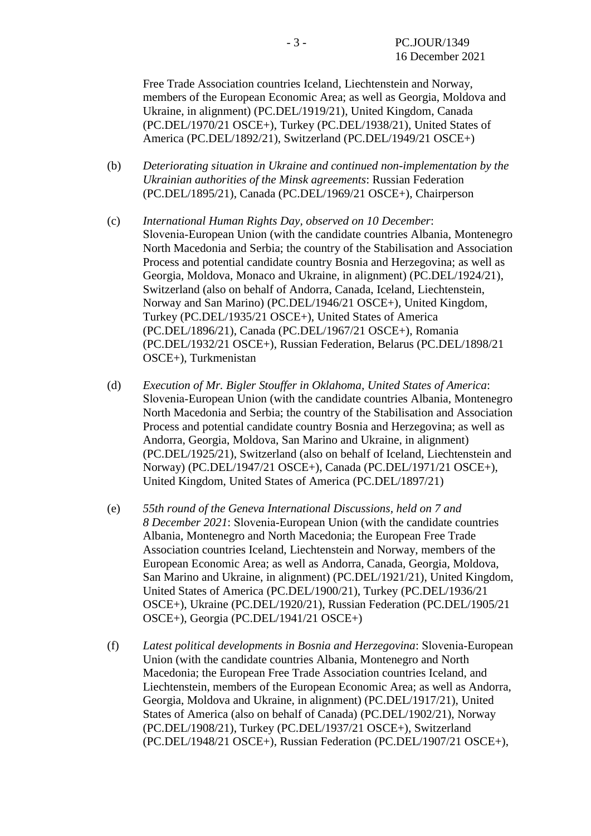Free Trade Association countries Iceland, Liechtenstein and Norway, members of the European Economic Area; as well as Georgia, Moldova and Ukraine, in alignment) (PC.DEL/1919/21), United Kingdom, Canada (PC.DEL/1970/21 OSCE+), Turkey (PC.DEL/1938/21), United States of America (PC.DEL/1892/21), Switzerland (PC.DEL/1949/21 OSCE+)

- (b) *Deteriorating situation in Ukraine and continued non-implementation by the Ukrainian authorities of the Minsk agreements*: Russian Federation (PC.DEL/1895/21), Canada (PC.DEL/1969/21 OSCE+), Chairperson
- (c) *International Human Rights Day, observed on 10 December*: Slovenia-European Union (with the candidate countries Albania, Montenegro North Macedonia and Serbia; the country of the Stabilisation and Association Process and potential candidate country Bosnia and Herzegovina; as well as Georgia, Moldova, Monaco and Ukraine, in alignment) (PC.DEL/1924/21), Switzerland (also on behalf of Andorra, Canada, Iceland, Liechtenstein, Norway and San Marino) (PC.DEL/1946/21 OSCE+), United Kingdom, Turkey (PC.DEL/1935/21 OSCE+), United States of America (PC.DEL/1896/21), Canada (PC.DEL/1967/21 OSCE+), Romania (PC.DEL/1932/21 OSCE+), Russian Federation, Belarus (PC.DEL/1898/21 OSCE+), Turkmenistan
- (d) *Execution of Mr. Bigler Stouffer in Oklahoma, United States of America*: Slovenia-European Union (with the candidate countries Albania, Montenegro North Macedonia and Serbia; the country of the Stabilisation and Association Process and potential candidate country Bosnia and Herzegovina; as well as Andorra, Georgia, Moldova, San Marino and Ukraine, in alignment) (PC.DEL/1925/21), Switzerland (also on behalf of Iceland, Liechtenstein and Norway) (PC.DEL/1947/21 OSCE+), Canada (PC.DEL/1971/21 OSCE+), United Kingdom, United States of America (PC.DEL/1897/21)
- (e) *55th round of the Geneva International Discussions, held on 7 and 8 December 2021*: Slovenia‑European Union (with the candidate countries Albania, Montenegro and North Macedonia; the European Free Trade Association countries Iceland, Liechtenstein and Norway, members of the European Economic Area; as well as Andorra, Canada, Georgia, Moldova, San Marino and Ukraine, in alignment) (PC.DEL/1921/21), United Kingdom, United States of America (PC.DEL/1900/21), Turkey (PC.DEL/1936/21 OSCE+), Ukraine (PC.DEL/1920/21), Russian Federation (PC.DEL/1905/21 OSCE+), Georgia (PC.DEL/1941/21 OSCE+)
- (f) *Latest political developments in Bosnia and Herzegovina*: Slovenia‑European Union (with the candidate countries Albania, Montenegro and North Macedonia; the European Free Trade Association countries Iceland, and Liechtenstein, members of the European Economic Area; as well as Andorra, Georgia, Moldova and Ukraine, in alignment) (PC.DEL/1917/21), United States of America (also on behalf of Canada) (PC.DEL/1902/21), Norway (PC.DEL/1908/21), Turkey (PC.DEL/1937/21 OSCE+), Switzerland (PC.DEL/1948/21 OSCE+), Russian Federation (PC.DEL/1907/21 OSCE+),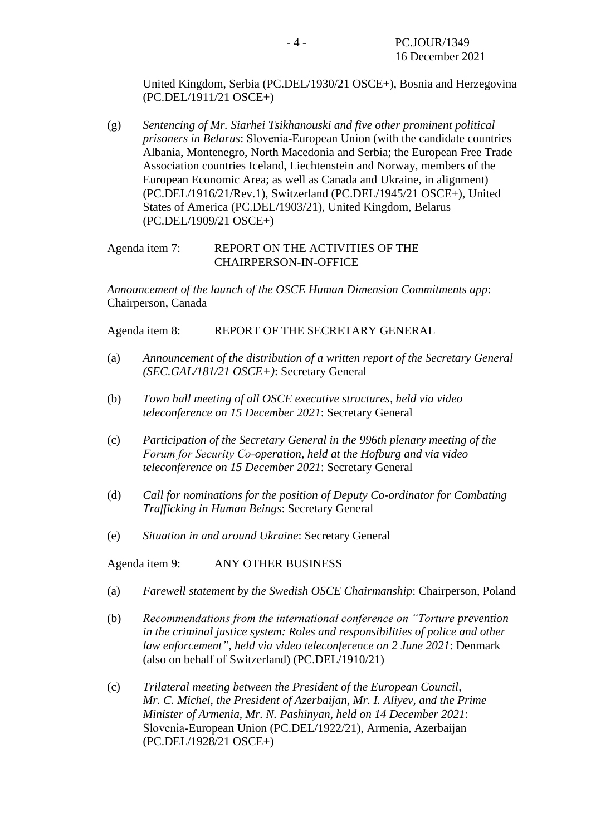United Kingdom, Serbia (PC.DEL/1930/21 OSCE+), Bosnia and Herzegovina (PC.DEL/1911/21 OSCE+)

(g) *Sentencing of Mr. Siarhei Tsikhanouski and five other prominent political prisoners in Belarus*: Slovenia‑European Union (with the candidate countries Albania, Montenegro, North Macedonia and Serbia; the European Free Trade Association countries Iceland, Liechtenstein and Norway, members of the European Economic Area; as well as Canada and Ukraine, in alignment) (PC.DEL/1916/21/Rev.1), Switzerland (PC.DEL/1945/21 OSCE+), United States of America (PC.DEL/1903/21), United Kingdom, Belarus (PC.DEL/1909/21 OSCE+)

### Agenda item 7: REPORT ON THE ACTIVITIES OF THE CHAIRPERSON-IN-OFFICE

*Announcement of the launch of the OSCE Human Dimension Commitments app*: Chairperson, Canada

Agenda item 8: REPORT OF THE SECRETARY GENERAL

- (a) *Announcement of the distribution of a written report of the Secretary General (SEC.GAL/181/21 OSCE+)*: Secretary General
- (b) *Town hall meeting of all OSCE executive structures, held via video teleconference on 15 December 2021*: Secretary General
- (c) *Participation of the Secretary General in the 996th plenary meeting of the Forum for Security Co‑operation, held at the Hofburg and via video teleconference on 15 December 2021*: Secretary General
- (d) *Call for nominations for the position of Deputy Co-ordinator for Combating Trafficking in Human Beings*: Secretary General
- (e) *Situation in and around Ukraine*: Secretary General

Agenda item 9: ANY OTHER BUSINESS

- (a) *Farewell statement by the Swedish OSCE Chairmanship*: Chairperson, Poland
- (b) *Recommendations from the international conference on "Torture prevention in the criminal justice system: Roles and responsibilities of police and other law enforcement", held via video teleconference on 2 June 2021*: Denmark (also on behalf of Switzerland) (PC.DEL/1910/21)
- (c) *Trilateral meeting between the President of the European Council, Mr. C. Michel, the President of Azerbaijan, Mr. I. Aliyev, and the Prime Minister of Armenia, Mr. N. Pashinyan, held on 14 December 2021*: Slovenia‑European Union (PC.DEL/1922/21), Armenia, Azerbaijan (PC.DEL/1928/21 OSCE+)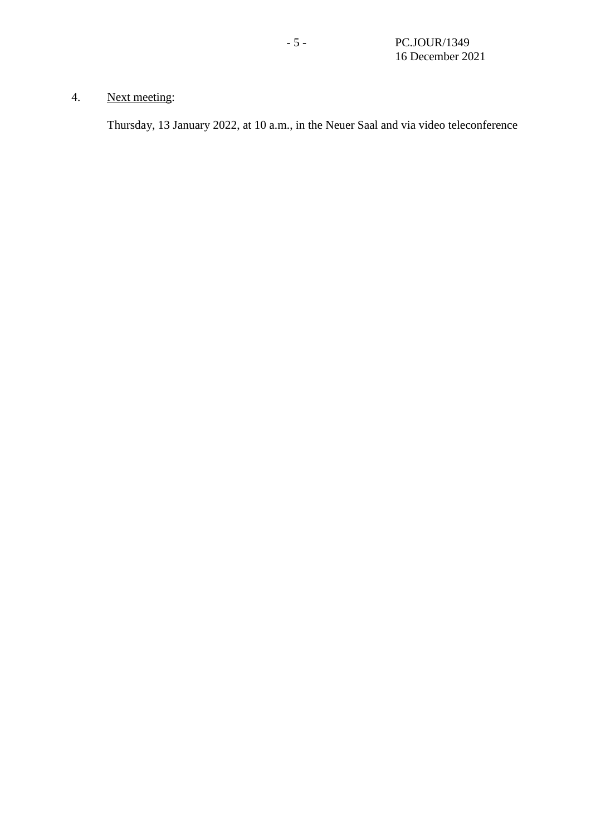## 4. Next meeting:

Thursday, 13 January 2022, at 10 a.m., in the Neuer Saal and via video teleconference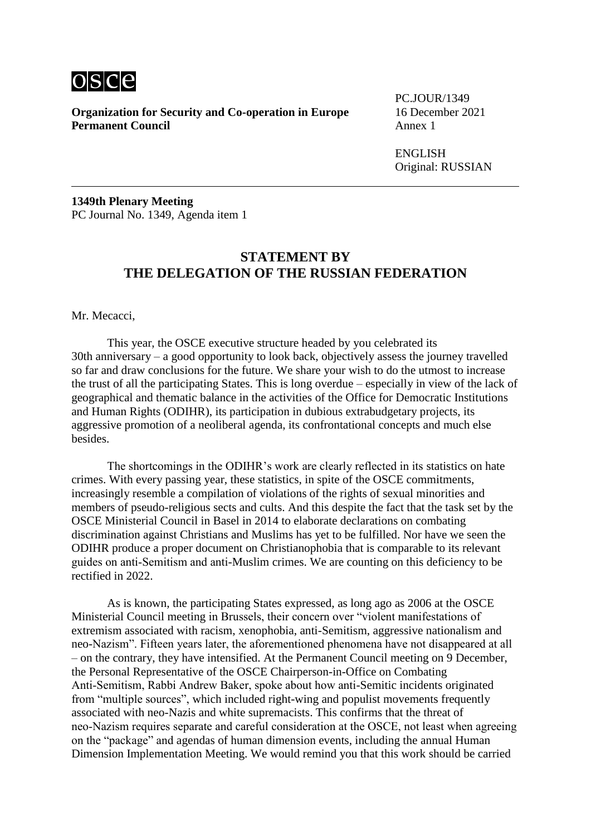

PC.JOUR/1349

ENGLISH Original: RUSSIAN

**1349th Plenary Meeting** PC Journal No. 1349, Agenda item 1

### **STATEMENT BY THE DELEGATION OF THE RUSSIAN FEDERATION**

Mr. Mecacci,

This year, the OSCE executive structure headed by you celebrated its 30th anniversary – a good opportunity to look back, objectively assess the journey travelled so far and draw conclusions for the future. We share your wish to do the utmost to increase the trust of all the participating States. This is long overdue – especially in view of the lack of geographical and thematic balance in the activities of the Office for Democratic Institutions and Human Rights (ODIHR), its participation in dubious extrabudgetary projects, its aggressive promotion of a neoliberal agenda, its confrontational concepts and much else besides.

The shortcomings in the ODIHR's work are clearly reflected in its statistics on hate crimes. With every passing year, these statistics, in spite of the OSCE commitments, increasingly resemble a compilation of violations of the rights of sexual minorities and members of pseudo-religious sects and cults. And this despite the fact that the task set by the OSCE Ministerial Council in Basel in 2014 to elaborate declarations on combating discrimination against Christians and Muslims has yet to be fulfilled. Nor have we seen the ODIHR produce a proper document on Christianophobia that is comparable to its relevant guides on anti‑Semitism and anti-Muslim crimes. We are counting on this deficiency to be rectified in 2022.

As is known, the participating States expressed, as long ago as 2006 at the OSCE Ministerial Council meeting in Brussels, their concern over "violent manifestations of extremism associated with racism, xenophobia, anti-Semitism, aggressive nationalism and neo-Nazism". Fifteen years later, the aforementioned phenomena have not disappeared at all – on the contrary, they have intensified. At the Permanent Council meeting on 9 December, the Personal Representative of the OSCE Chairperson-in-Office on Combating Anti‑Semitism, Rabbi Andrew Baker, spoke about how anti-Semitic incidents originated from "multiple sources", which included right-wing and populist movements frequently associated with neo-Nazis and white supremacists. This confirms that the threat of neo‑Nazism requires separate and careful consideration at the OSCE, not least when agreeing on the "package" and agendas of human dimension events, including the annual Human Dimension Implementation Meeting. We would remind you that this work should be carried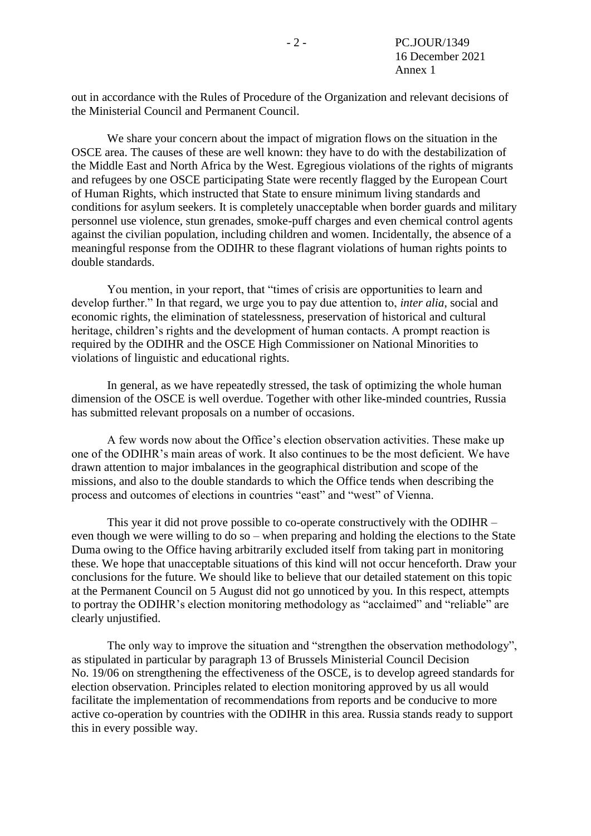out in accordance with the Rules of Procedure of the Organization and relevant decisions of the Ministerial Council and Permanent Council.

We share your concern about the impact of migration flows on the situation in the OSCE area. The causes of these are well known: they have to do with the destabilization of the Middle East and North Africa by the West. Egregious violations of the rights of migrants and refugees by one OSCE participating State were recently flagged by the European Court of Human Rights, which instructed that State to ensure minimum living standards and conditions for asylum seekers. It is completely unacceptable when border guards and military personnel use violence, stun grenades, smoke-puff charges and even chemical control agents against the civilian population, including children and women. Incidentally, the absence of a meaningful response from the ODIHR to these flagrant violations of human rights points to double standards.

You mention, in your report, that "times of crisis are opportunities to learn and develop further." In that regard, we urge you to pay due attention to, *inter alia*, social and economic rights, the elimination of statelessness, preservation of historical and cultural heritage, children's rights and the development of human contacts. A prompt reaction is required by the ODIHR and the OSCE High Commissioner on National Minorities to violations of linguistic and educational rights.

In general, as we have repeatedly stressed, the task of optimizing the whole human dimension of the OSCE is well overdue. Together with other like-minded countries, Russia has submitted relevant proposals on a number of occasions.

A few words now about the Office's election observation activities. These make up one of the ODIHR's main areas of work. It also continues to be the most deficient. We have drawn attention to major imbalances in the geographical distribution and scope of the missions, and also to the double standards to which the Office tends when describing the process and outcomes of elections in countries "east" and "west" of Vienna.

This year it did not prove possible to co-operate constructively with the ODIHR – even though we were willing to do so – when preparing and holding the elections to the State Duma owing to the Office having arbitrarily excluded itself from taking part in monitoring these. We hope that unacceptable situations of this kind will not occur henceforth. Draw your conclusions for the future. We should like to believe that our detailed statement on this topic at the Permanent Council on 5 August did not go unnoticed by you. In this respect, attempts to portray the ODIHR's election monitoring methodology as "acclaimed" and "reliable" are clearly unjustified.

The only way to improve the situation and "strengthen the observation methodology", as stipulated in particular by paragraph 13 of Brussels Ministerial Council Decision No. 19/06 on strengthening the effectiveness of the OSCE, is to develop agreed standards for election observation. Principles related to election monitoring approved by us all would facilitate the implementation of recommendations from reports and be conducive to more active co-operation by countries with the ODIHR in this area. Russia stands ready to support this in every possible way.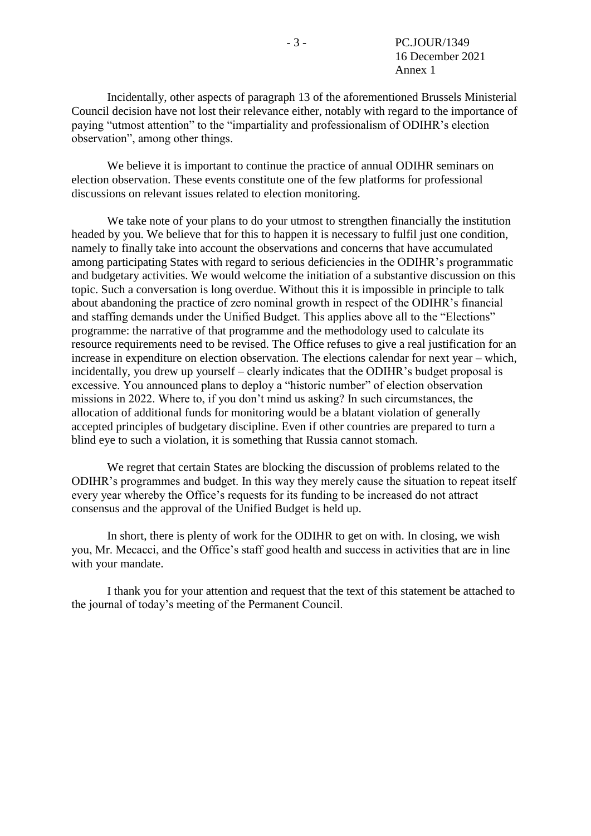Incidentally, other aspects of paragraph 13 of the aforementioned Brussels Ministerial Council decision have not lost their relevance either, notably with regard to the importance of paying "utmost attention" to the "impartiality and professionalism of ODIHR's election observation", among other things.

We believe it is important to continue the practice of annual ODIHR seminars on election observation. These events constitute one of the few platforms for professional discussions on relevant issues related to election monitoring.

We take note of your plans to do your utmost to strengthen financially the institution headed by you. We believe that for this to happen it is necessary to fulfil just one condition, namely to finally take into account the observations and concerns that have accumulated among participating States with regard to serious deficiencies in the ODIHR's programmatic and budgetary activities. We would welcome the initiation of a substantive discussion on this topic. Such a conversation is long overdue. Without this it is impossible in principle to talk about abandoning the practice of zero nominal growth in respect of the ODIHR's financial and staffing demands under the Unified Budget. This applies above all to the "Elections" programme: the narrative of that programme and the methodology used to calculate its resource requirements need to be revised. The Office refuses to give a real justification for an increase in expenditure on election observation. The elections calendar for next year – which, incidentally, you drew up yourself – clearly indicates that the ODIHR's budget proposal is excessive. You announced plans to deploy a "historic number" of election observation missions in 2022. Where to, if you don't mind us asking? In such circumstances, the allocation of additional funds for monitoring would be a blatant violation of generally accepted principles of budgetary discipline. Even if other countries are prepared to turn a blind eye to such a violation, it is something that Russia cannot stomach.

We regret that certain States are blocking the discussion of problems related to the ODIHR's programmes and budget. In this way they merely cause the situation to repeat itself every year whereby the Office's requests for its funding to be increased do not attract consensus and the approval of the Unified Budget is held up.

In short, there is plenty of work for the ODIHR to get on with. In closing, we wish you, Mr. Mecacci, and the Office's staff good health and success in activities that are in line with your mandate.

I thank you for your attention and request that the text of this statement be attached to the journal of today's meeting of the Permanent Council.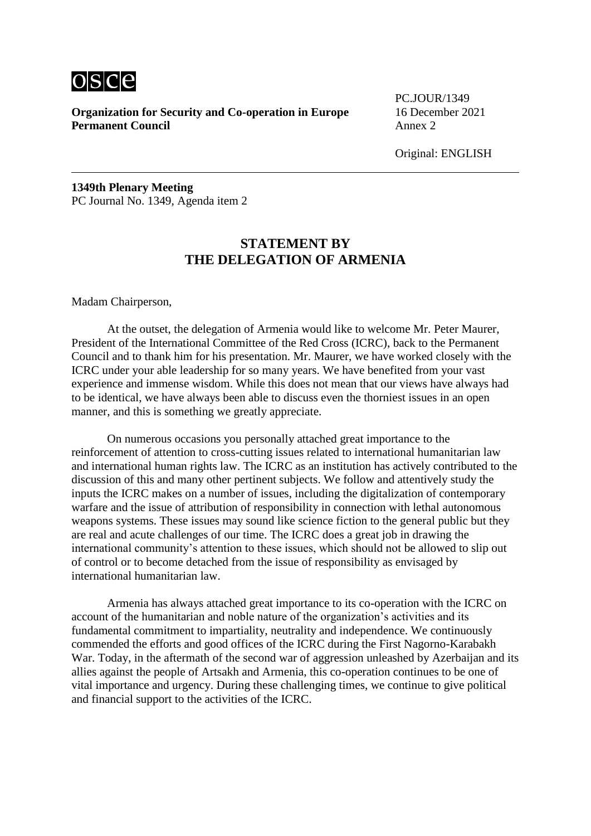

PC.JOUR/1349

Original: ENGLISH

**1349th Plenary Meeting** PC Journal No. 1349, Agenda item 2

## **STATEMENT BY THE DELEGATION OF ARMENIA**

Madam Chairperson,

At the outset, the delegation of Armenia would like to welcome Mr. Peter Maurer, President of the International Committee of the Red Cross (ICRC), back to the Permanent Council and to thank him for his presentation. Mr. Maurer, we have worked closely with the ICRC under your able leadership for so many years. We have benefited from your vast experience and immense wisdom. While this does not mean that our views have always had to be identical, we have always been able to discuss even the thorniest issues in an open manner, and this is something we greatly appreciate.

On numerous occasions you personally attached great importance to the reinforcement of attention to cross-cutting issues related to international humanitarian law and international human rights law. The ICRC as an institution has actively contributed to the discussion of this and many other pertinent subjects. We follow and attentively study the inputs the ICRC makes on a number of issues, including the digitalization of contemporary warfare and the issue of attribution of responsibility in connection with lethal autonomous weapons systems. These issues may sound like science fiction to the general public but they are real and acute challenges of our time. The ICRC does a great job in drawing the international community's attention to these issues, which should not be allowed to slip out of control or to become detached from the issue of responsibility as envisaged by international humanitarian law.

Armenia has always attached great importance to its co-operation with the ICRC on account of the humanitarian and noble nature of the organization's activities and its fundamental commitment to impartiality, neutrality and independence. We continuously commended the efforts and good offices of the ICRC during the First Nagorno-Karabakh War. Today, in the aftermath of the second war of aggression unleashed by Azerbaijan and its allies against the people of Artsakh and Armenia, this co-operation continues to be one of vital importance and urgency. During these challenging times, we continue to give political and financial support to the activities of the ICRC.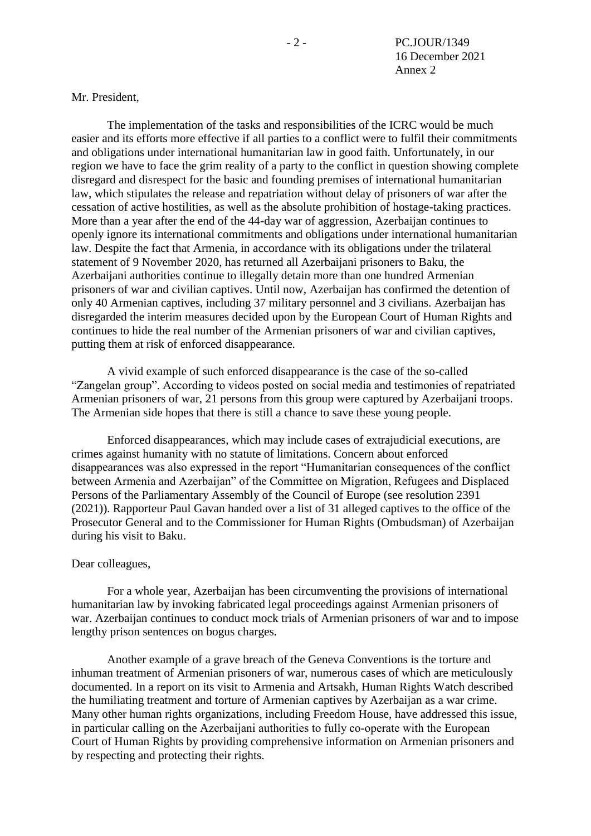#### Mr. President,

The implementation of the tasks and responsibilities of the ICRC would be much easier and its efforts more effective if all parties to a conflict were to fulfil their commitments and obligations under international humanitarian law in good faith. Unfortunately, in our region we have to face the grim reality of a party to the conflict in question showing complete disregard and disrespect for the basic and founding premises of international humanitarian law, which stipulates the release and repatriation without delay of prisoners of war after the cessation of active hostilities, as well as the absolute prohibition of hostage-taking practices. More than a year after the end of the 44-day war of aggression, Azerbaijan continues to openly ignore its international commitments and obligations under international humanitarian law. Despite the fact that Armenia, in accordance with its obligations under the trilateral statement of 9 November 2020, has returned all Azerbaijani prisoners to Baku, the Azerbaijani authorities continue to illegally detain more than one hundred Armenian prisoners of war and civilian captives. Until now, Azerbaijan has confirmed the detention of only 40 Armenian captives, including 37 military personnel and 3 civilians. Azerbaijan has disregarded the interim measures decided upon by the European Court of Human Rights and continues to hide the real number of the Armenian prisoners of war and civilian captives, putting them at risk of enforced disappearance.

A vivid example of such enforced disappearance is the case of the so-called "Zangelan group". According to videos posted on social media and testimonies of repatriated Armenian prisoners of war, 21 persons from this group were captured by Azerbaijani troops. The Armenian side hopes that there is still a chance to save these young people.

Enforced disappearances, which may include cases of extrajudicial executions, are crimes against humanity with no statute of limitations. Concern about enforced disappearances was also expressed in the report "Humanitarian consequences of the conflict between Armenia and Azerbaijan" of the Committee on Migration, Refugees and Displaced Persons of the Parliamentary Assembly of the Council of Europe (see resolution 2391 (2021)). Rapporteur Paul Gavan handed over a list of 31 alleged captives to the office of the Prosecutor General and to the Commissioner for Human Rights (Ombudsman) of Azerbaijan during his visit to Baku.

#### Dear colleagues,

For a whole year, Azerbaijan has been circumventing the provisions of international humanitarian law by invoking fabricated legal proceedings against Armenian prisoners of war. Azerbaijan continues to conduct mock trials of Armenian prisoners of war and to impose lengthy prison sentences on bogus charges.

Another example of a grave breach of the Geneva Conventions is the torture and inhuman treatment of Armenian prisoners of war, numerous cases of which are meticulously documented. In a report on its visit to Armenia and Artsakh, Human Rights Watch described the humiliating treatment and torture of Armenian captives by Azerbaijan as a war crime. Many other human rights organizations, including Freedom House, have addressed this issue, in particular calling on the Azerbaijani authorities to fully co-operate with the European Court of Human Rights by providing comprehensive information on Armenian prisoners and by respecting and protecting their rights.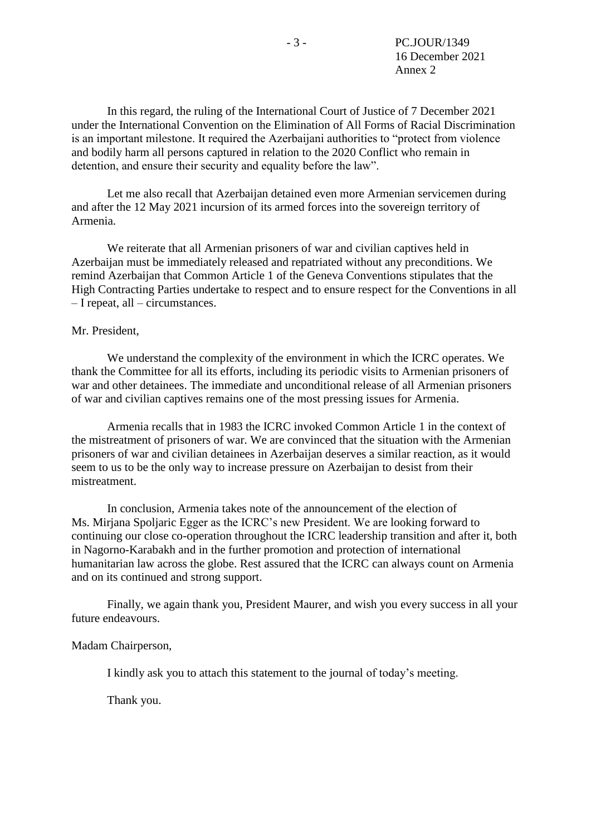In this regard, the ruling of the International Court of Justice of 7 December 2021 under the International Convention on the Elimination of All Forms of Racial Discrimination is an important milestone. It required the Azerbaijani authorities to "protect from violence and bodily harm all persons captured in relation to the 2020 Conflict who remain in detention, and ensure their security and equality before the law".

Let me also recall that Azerbaijan detained even more Armenian servicemen during and after the 12 May 2021 incursion of its armed forces into the sovereign territory of Armenia.

We reiterate that all Armenian prisoners of war and civilian captives held in Azerbaijan must be immediately released and repatriated without any preconditions. We remind Azerbaijan that Common Article 1 of the Geneva Conventions stipulates that the High Contracting Parties undertake to respect and to ensure respect for the Conventions in all – I repeat, all – circumstances.

#### Mr. President,

We understand the complexity of the environment in which the ICRC operates. We thank the Committee for all its efforts, including its periodic visits to Armenian prisoners of war and other detainees. The immediate and unconditional release of all Armenian prisoners of war and civilian captives remains one of the most pressing issues for Armenia.

Armenia recalls that in 1983 the ICRC invoked Common Article 1 in the context of the mistreatment of prisoners of war. We are convinced that the situation with the Armenian prisoners of war and civilian detainees in Azerbaijan deserves a similar reaction, as it would seem to us to be the only way to increase pressure on Azerbaijan to desist from their mistreatment.

In conclusion, Armenia takes note of the announcement of the election of Ms. Mirjana Spoljaric Egger as the ICRC's new President. We are looking forward to continuing our close co-operation throughout the ICRC leadership transition and after it, both in Nagorno-Karabakh and in the further promotion and protection of international humanitarian law across the globe. Rest assured that the ICRC can always count on Armenia and on its continued and strong support.

Finally, we again thank you, President Maurer, and wish you every success in all your future endeavours.

Madam Chairperson,

I kindly ask you to attach this statement to the journal of today's meeting.

Thank you.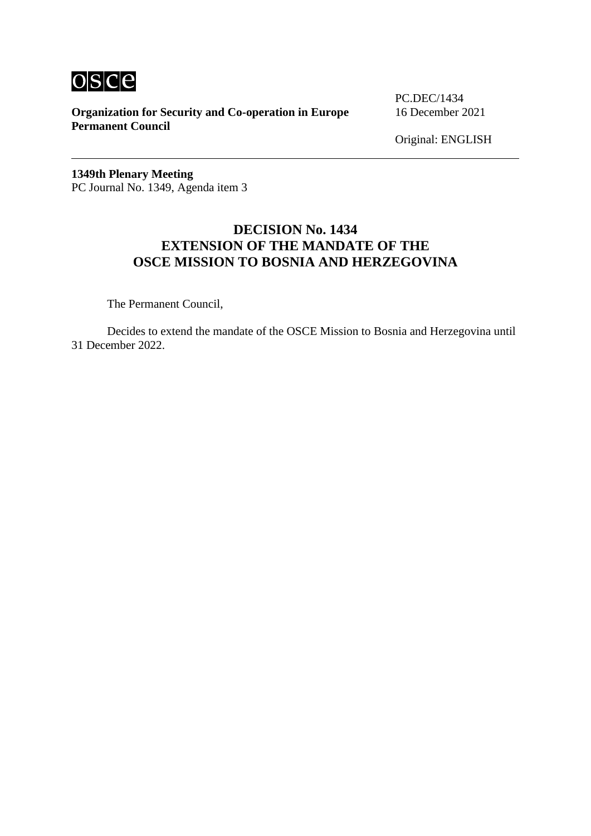

PC.DEC/1434

Original: ENGLISH

**1349th Plenary Meeting** PC Journal No. 1349, Agenda item 3

## **DECISION No. 1434 EXTENSION OF THE MANDATE OF THE OSCE MISSION TO BOSNIA AND HERZEGOVINA**

The Permanent Council,

Decides to extend the mandate of the OSCE Mission to Bosnia and Herzegovina until 31 December 2022.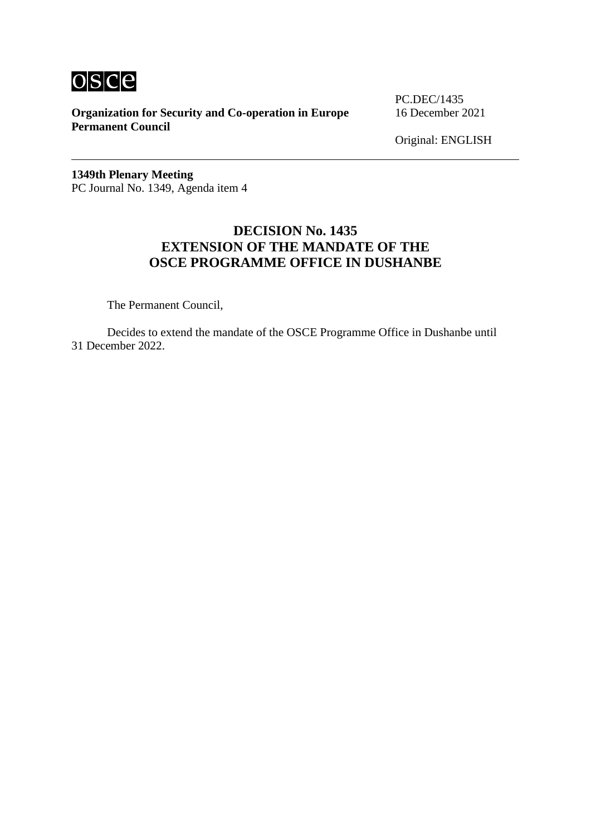

PC.DEC/1435

Original: ENGLISH

**1349th Plenary Meeting** PC Journal No. 1349, Agenda item 4

## **DECISION No. 1435 EXTENSION OF THE MANDATE OF THE OSCE PROGRAMME OFFICE IN DUSHANBE**

The Permanent Council,

Decides to extend the mandate of the OSCE Programme Office in Dushanbe until 31 December 2022.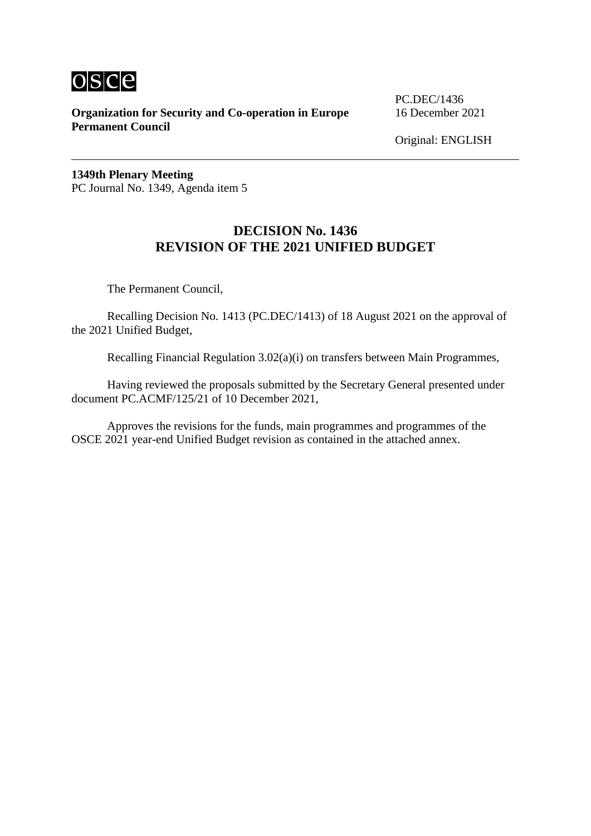

PC.DEC/1436

Original: ENGLISH

**1349th Plenary Meeting** PC Journal No. 1349, Agenda item 5

## **DECISION No. 1436 REVISION OF THE 2021 UNIFIED BUDGET**

The Permanent Council,

Recalling Decision No. 1413 (PC.DEC/1413) of 18 August 2021 on the approval of the 2021 Unified Budget,

Recalling Financial Regulation 3.02(a)(i) on transfers between Main Programmes,

Having reviewed the proposals submitted by the Secretary General presented under document PC.ACMF/125/21 of 10 December 2021,

Approves the revisions for the funds, main programmes and programmes of the OSCE 2021 year-end Unified Budget revision as contained in the attached annex.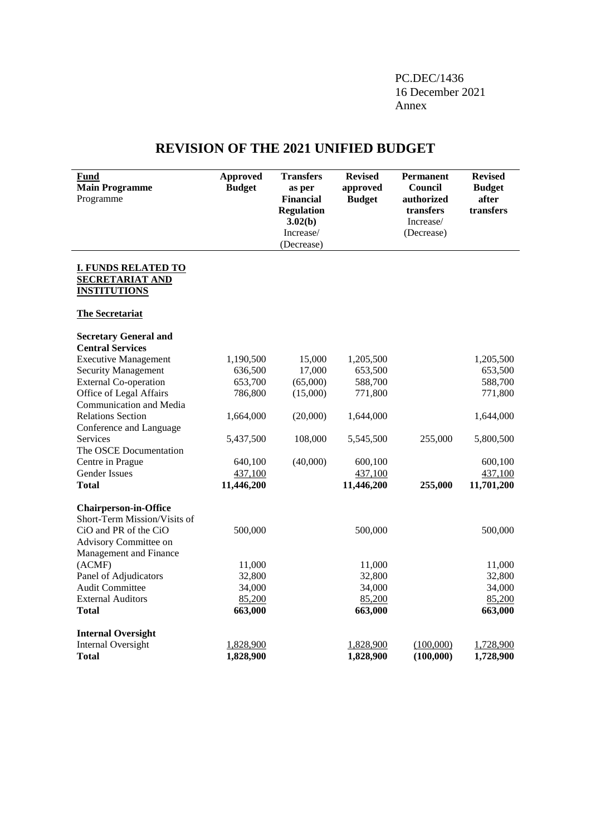PC.DEC/1436 16 December 2021 Annex

## **REVISION OF THE 2021 UNIFIED BUDGET**

| Fund<br><b>Main Programme</b><br>Programme                                  | <b>Approved</b><br><b>Budget</b> | <b>Transfers</b><br>as per<br><b>Financial</b><br><b>Regulation</b><br>3.02(b)<br>Increase/<br>(Decrease) | <b>Revised</b><br>approved<br><b>Budget</b> | <b>Permanent</b><br>Council<br>authorized<br>transfers<br>Increase/<br>(Decrease) | <b>Revised</b><br><b>Budget</b><br>after<br>transfers |
|-----------------------------------------------------------------------------|----------------------------------|-----------------------------------------------------------------------------------------------------------|---------------------------------------------|-----------------------------------------------------------------------------------|-------------------------------------------------------|
| <b>I. FUNDS RELATED TO</b><br><b>SECRETARIAT AND</b><br><b>INSTITUTIONS</b> |                                  |                                                                                                           |                                             |                                                                                   |                                                       |
| <b>The Secretariat</b>                                                      |                                  |                                                                                                           |                                             |                                                                                   |                                                       |
| <b>Secretary General and</b><br><b>Central Services</b>                     |                                  |                                                                                                           |                                             |                                                                                   |                                                       |
| <b>Executive Management</b>                                                 | 1,190,500                        | 15,000                                                                                                    | 1,205,500                                   |                                                                                   | 1,205,500                                             |
| <b>Security Management</b>                                                  | 636,500                          | 17,000                                                                                                    | 653,500                                     |                                                                                   | 653,500                                               |
| <b>External Co-operation</b>                                                | 653,700                          | (65,000)                                                                                                  | 588,700                                     |                                                                                   | 588,700                                               |
| Office of Legal Affairs                                                     | 786,800                          | (15,000)                                                                                                  | 771,800                                     |                                                                                   | 771,800                                               |
| Communication and Media                                                     |                                  |                                                                                                           |                                             |                                                                                   |                                                       |
| <b>Relations Section</b>                                                    | 1,664,000                        | (20,000)                                                                                                  | 1,644,000                                   |                                                                                   | 1,644,000                                             |
| Conference and Language                                                     |                                  |                                                                                                           |                                             |                                                                                   |                                                       |
| <b>Services</b><br>The OSCE Documentation                                   | 5,437,500                        | 108,000                                                                                                   | 5,545,500                                   | 255,000                                                                           | 5,800,500                                             |
| Centre in Prague                                                            | 640,100                          | (40,000)                                                                                                  | 600,100                                     |                                                                                   | 600,100                                               |
| <b>Gender Issues</b>                                                        | 437,100                          |                                                                                                           | 437,100                                     |                                                                                   | 437,100                                               |
| Total                                                                       | 11,446,200                       |                                                                                                           | 11,446,200                                  | 255,000                                                                           | 11,701,200                                            |
| <b>Chairperson-in-Office</b>                                                |                                  |                                                                                                           |                                             |                                                                                   |                                                       |
| Short-Term Mission/Visits of                                                |                                  |                                                                                                           |                                             |                                                                                   |                                                       |
| CiO and PR of the CiO                                                       | 500,000                          |                                                                                                           | 500,000                                     |                                                                                   | 500,000                                               |
| Advisory Committee on                                                       |                                  |                                                                                                           |                                             |                                                                                   |                                                       |
| Management and Finance                                                      |                                  |                                                                                                           |                                             |                                                                                   |                                                       |
| (ACMF)                                                                      | 11,000                           |                                                                                                           | 11,000                                      |                                                                                   | 11,000                                                |
| Panel of Adjudicators                                                       | 32,800                           |                                                                                                           | 32,800                                      |                                                                                   | 32,800                                                |
| <b>Audit Committee</b>                                                      | 34,000                           |                                                                                                           | 34,000                                      |                                                                                   | 34,000                                                |
| <b>External Auditors</b>                                                    | 85,200                           |                                                                                                           | 85,200                                      |                                                                                   | 85,200                                                |
| <b>Total</b>                                                                | 663,000                          |                                                                                                           | 663,000                                     |                                                                                   | 663,000                                               |
| <b>Internal Oversight</b>                                                   |                                  |                                                                                                           |                                             |                                                                                   |                                                       |
| <b>Internal Oversight</b>                                                   | 1,828,900                        |                                                                                                           | 1,828,900                                   | (100,000)                                                                         | 1,728,900                                             |
| <b>Total</b>                                                                | 1,828,900                        |                                                                                                           | 1,828,900                                   | (100,000)                                                                         | 1,728,900                                             |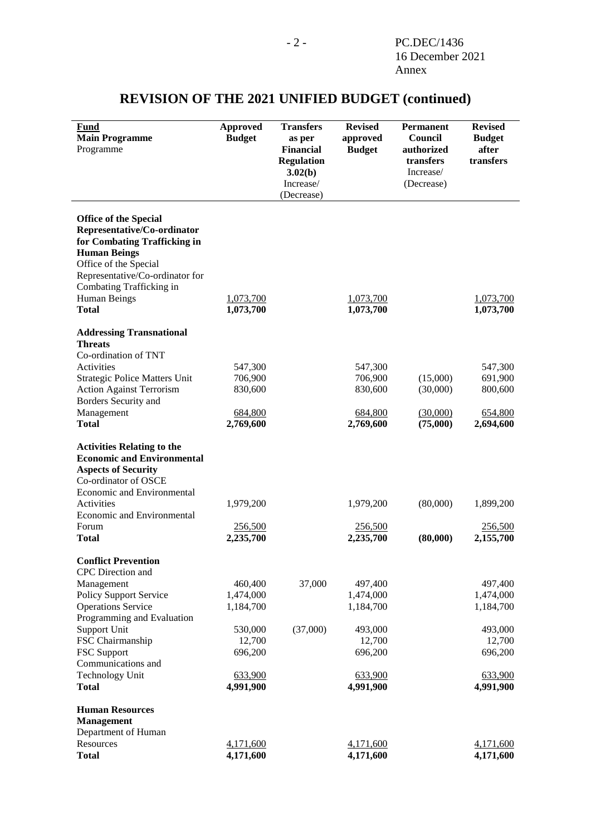| 1,073,700<br>1,073,700<br>547,300<br>691,900<br>800,600 |
|---------------------------------------------------------|
|                                                         |
|                                                         |
|                                                         |
|                                                         |
|                                                         |
|                                                         |
|                                                         |
|                                                         |
|                                                         |
|                                                         |
|                                                         |
|                                                         |
|                                                         |
|                                                         |
|                                                         |
|                                                         |
| 654,800<br>2,694,600                                    |
|                                                         |
|                                                         |
|                                                         |
| 1,899,200                                               |
|                                                         |
| 256,500                                                 |
| 2,155,700                                               |
|                                                         |
|                                                         |
| 497,400                                                 |
| 1,474,000                                               |
| 1,184,700                                               |
|                                                         |
| 493,000                                                 |
| 12,700                                                  |
| 696,200                                                 |
|                                                         |
| 633,900<br>4,991,900                                    |
|                                                         |
|                                                         |
|                                                         |
|                                                         |
| 4,171,600                                               |
|                                                         |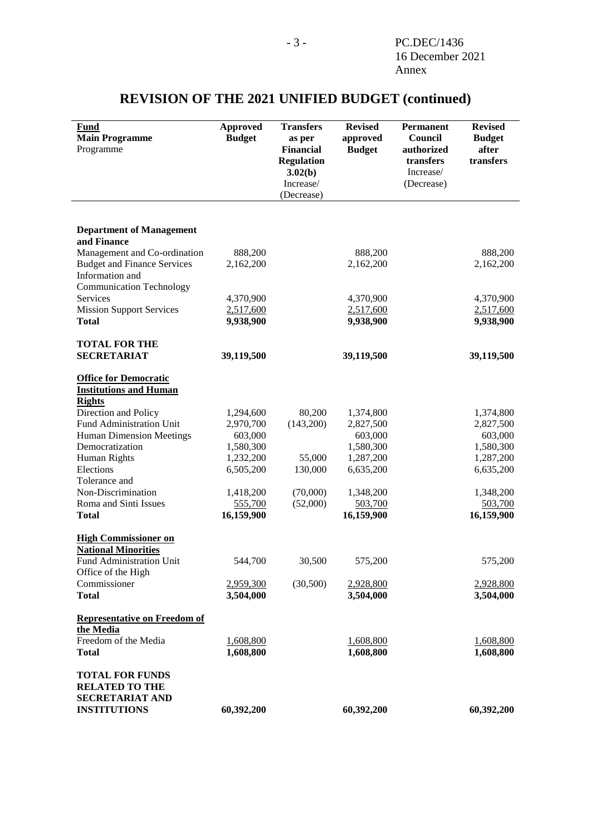| <b>Fund</b><br><b>Main Programme</b><br>Programme                                         | <b>Approved</b><br><b>Budget</b> | <b>Transfers</b><br>as per<br><b>Financial</b><br><b>Regulation</b><br>3.02(b)<br>Increase/<br>(Decrease) | <b>Revised</b><br>approved<br><b>Budget</b> | Permanent<br>Council<br>authorized<br>transfers<br>Increase/<br>(Decrease) | <b>Revised</b><br><b>Budget</b><br>after<br>transfers |
|-------------------------------------------------------------------------------------------|----------------------------------|-----------------------------------------------------------------------------------------------------------|---------------------------------------------|----------------------------------------------------------------------------|-------------------------------------------------------|
|                                                                                           |                                  |                                                                                                           |                                             |                                                                            |                                                       |
| <b>Department of Management</b>                                                           |                                  |                                                                                                           |                                             |                                                                            |                                                       |
| and Finance                                                                               |                                  |                                                                                                           |                                             |                                                                            |                                                       |
| Management and Co-ordination                                                              | 888,200                          |                                                                                                           | 888,200                                     |                                                                            | 888,200                                               |
| <b>Budget and Finance Services</b>                                                        | 2,162,200                        |                                                                                                           | 2,162,200                                   |                                                                            | 2,162,200                                             |
| Information and                                                                           |                                  |                                                                                                           |                                             |                                                                            |                                                       |
| <b>Communication Technology</b>                                                           |                                  |                                                                                                           |                                             |                                                                            |                                                       |
| Services                                                                                  | 4,370,900                        |                                                                                                           | 4,370,900                                   |                                                                            | 4,370,900                                             |
| <b>Mission Support Services</b>                                                           | 2,517,600                        |                                                                                                           | 2,517,600                                   |                                                                            | 2,517,600                                             |
| <b>Total</b>                                                                              | 9,938,900                        |                                                                                                           | 9,938,900                                   |                                                                            | 9,938,900                                             |
| <b>TOTAL FOR THE</b>                                                                      |                                  |                                                                                                           |                                             |                                                                            |                                                       |
| <b>SECRETARIAT</b>                                                                        | 39,119,500                       |                                                                                                           | 39,119,500                                  |                                                                            | 39,119,500                                            |
|                                                                                           |                                  |                                                                                                           |                                             |                                                                            |                                                       |
| <b>Office for Democratic</b>                                                              |                                  |                                                                                                           |                                             |                                                                            |                                                       |
| <b>Institutions and Human</b>                                                             |                                  |                                                                                                           |                                             |                                                                            |                                                       |
| <b>Rights</b><br>Direction and Policy                                                     | 1,294,600                        | 80,200                                                                                                    |                                             |                                                                            |                                                       |
| Fund Administration Unit                                                                  | 2,970,700                        | (143,200)                                                                                                 | 1,374,800<br>2,827,500                      |                                                                            | 1,374,800<br>2,827,500                                |
| <b>Human Dimension Meetings</b>                                                           | 603,000                          |                                                                                                           | 603,000                                     |                                                                            | 603,000                                               |
| Democratization                                                                           | 1,580,300                        |                                                                                                           | 1,580,300                                   |                                                                            | 1,580,300                                             |
| Human Rights                                                                              | 1,232,200                        | 55,000                                                                                                    | 1,287,200                                   |                                                                            | 1,287,200                                             |
| Elections                                                                                 | 6,505,200                        | 130,000                                                                                                   | 6,635,200                                   |                                                                            | 6,635,200                                             |
| Tolerance and                                                                             |                                  |                                                                                                           |                                             |                                                                            |                                                       |
| Non-Discrimination                                                                        | 1,418,200                        | (70,000)                                                                                                  | 1,348,200                                   |                                                                            | 1,348,200                                             |
| Roma and Sinti Issues                                                                     | 555,700                          | (52,000)                                                                                                  | 503,700                                     |                                                                            | 503,700                                               |
| <b>Total</b>                                                                              | 16,159,900                       |                                                                                                           | 16,159,900                                  |                                                                            | 16,159,900                                            |
| <b>High Commissioner on</b>                                                               |                                  |                                                                                                           |                                             |                                                                            |                                                       |
| <b>National Minorities</b>                                                                |                                  |                                                                                                           |                                             |                                                                            |                                                       |
| <b>Fund Administration Unit</b>                                                           | 544,700                          | 30,500                                                                                                    | 575,200                                     |                                                                            | 575,200                                               |
| Office of the High                                                                        |                                  |                                                                                                           |                                             |                                                                            |                                                       |
| Commissioner                                                                              | 2,959,300                        | (30,500)                                                                                                  | 2,928,800                                   |                                                                            | 2,928,800                                             |
| <b>Total</b>                                                                              | 3,504,000                        |                                                                                                           | 3,504,000                                   |                                                                            | 3,504,000                                             |
|                                                                                           |                                  |                                                                                                           |                                             |                                                                            |                                                       |
| <b>Representative on Freedom of</b>                                                       |                                  |                                                                                                           |                                             |                                                                            |                                                       |
| the Media<br>Freedom of the Media                                                         | 1,608,800                        |                                                                                                           | 1,608,800                                   |                                                                            | 1,608,800                                             |
| <b>Total</b>                                                                              | 1,608,800                        |                                                                                                           | 1,608,800                                   |                                                                            | 1,608,800                                             |
|                                                                                           |                                  |                                                                                                           |                                             |                                                                            |                                                       |
| <b>TOTAL FOR FUNDS</b><br><b>RELATED TO THE</b><br>SECRETARIAT AND<br><b>INSTITUTIONS</b> | 60,392,200                       |                                                                                                           | 60,392,200                                  |                                                                            | 60,392,200                                            |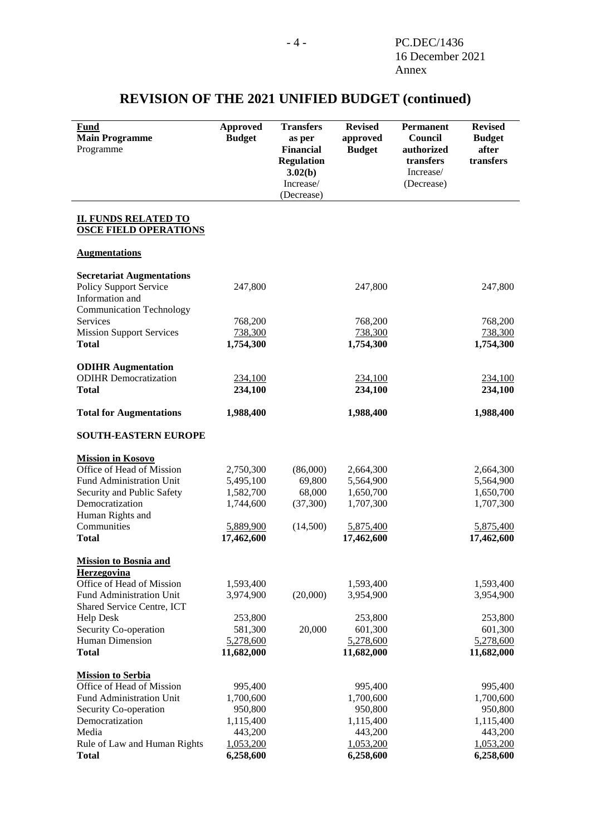| Fund<br><b>Main Programme</b><br>Programme               | <b>Approved</b><br><b>Budget</b> | <b>Transfers</b><br>as per<br><b>Financial</b><br><b>Regulation</b><br>3.02(b)<br>Increase/<br>(Decrease) | <b>Revised</b><br>approved<br><b>Budget</b> | <b>Permanent</b><br>Council<br>authorized<br>transfers<br>Increase/<br>(Decrease) | <b>Revised</b><br><b>Budget</b><br>after<br>transfers |
|----------------------------------------------------------|----------------------------------|-----------------------------------------------------------------------------------------------------------|---------------------------------------------|-----------------------------------------------------------------------------------|-------------------------------------------------------|
| <b>II. FUNDS RELATED TO</b>                              |                                  |                                                                                                           |                                             |                                                                                   |                                                       |
| <b>OSCE FIELD OPERATIONS</b>                             |                                  |                                                                                                           |                                             |                                                                                   |                                                       |
| <b>Augmentations</b>                                     |                                  |                                                                                                           |                                             |                                                                                   |                                                       |
| <b>Secretariat Augmentations</b>                         |                                  |                                                                                                           |                                             |                                                                                   |                                                       |
| <b>Policy Support Service</b>                            | 247,800                          |                                                                                                           | 247,800                                     |                                                                                   | 247,800                                               |
| Information and                                          |                                  |                                                                                                           |                                             |                                                                                   |                                                       |
| <b>Communication Technology</b>                          |                                  |                                                                                                           |                                             |                                                                                   |                                                       |
| Services<br><b>Mission Support Services</b>              | 768,200<br>738,300               |                                                                                                           | 768,200<br>738,300                          |                                                                                   | 768,200<br>738,300                                    |
| <b>Total</b>                                             | 1,754,300                        |                                                                                                           | 1,754,300                                   |                                                                                   | 1,754,300                                             |
|                                                          |                                  |                                                                                                           |                                             |                                                                                   |                                                       |
| <b>ODIHR</b> Augmentation                                |                                  |                                                                                                           |                                             |                                                                                   |                                                       |
| <b>ODIHR</b> Democratization                             | 234,100                          |                                                                                                           | 234,100                                     |                                                                                   | 234,100                                               |
| <b>Total</b>                                             | 234,100                          |                                                                                                           | 234,100                                     |                                                                                   | 234,100                                               |
| <b>Total for Augmentations</b>                           | 1,988,400                        |                                                                                                           | 1,988,400                                   |                                                                                   | 1,988,400                                             |
| <b>SOUTH-EASTERN EUROPE</b>                              |                                  |                                                                                                           |                                             |                                                                                   |                                                       |
| <b>Mission in Kosovo</b>                                 |                                  |                                                                                                           |                                             |                                                                                   |                                                       |
| Office of Head of Mission                                | 2,750,300                        | (86,000)                                                                                                  | 2,664,300                                   |                                                                                   | 2,664,300                                             |
| Fund Administration Unit                                 | 5,495,100                        | 69,800                                                                                                    | 5,564,900                                   |                                                                                   | 5,564,900                                             |
| Security and Public Safety                               | 1,582,700                        | 68,000                                                                                                    | 1,650,700                                   |                                                                                   | 1,650,700                                             |
| Democratization                                          | 1,744,600                        | (37, 300)                                                                                                 | 1,707,300                                   |                                                                                   | 1,707,300                                             |
| Human Rights and<br>Communities                          | 5,889,900                        | (14,500)                                                                                                  | 5,875,400                                   |                                                                                   | 5,875,400                                             |
| <b>Total</b>                                             | 17,462,600                       |                                                                                                           | 17,462,600                                  |                                                                                   | 17,462,600                                            |
|                                                          |                                  |                                                                                                           |                                             |                                                                                   |                                                       |
| Mission to Bosnia and<br>Herzegovina                     |                                  |                                                                                                           |                                             |                                                                                   |                                                       |
| Office of Head of Mission                                | 1,593,400                        |                                                                                                           | 1,593,400                                   |                                                                                   | 1,593,400                                             |
| Fund Administration Unit                                 | 3,974,900                        | (20,000)                                                                                                  | 3,954,900                                   |                                                                                   | 3,954,900                                             |
| Shared Service Centre, ICT                               |                                  |                                                                                                           |                                             |                                                                                   |                                                       |
| <b>Help Desk</b>                                         | 253,800                          |                                                                                                           | 253,800                                     |                                                                                   | 253,800                                               |
| Security Co-operation<br>Human Dimension                 | 581,300<br>5,278,600             | 20,000                                                                                                    | 601,300<br>5,278,600                        |                                                                                   | 601,300<br>5,278,600                                  |
| <b>Total</b>                                             | 11,682,000                       |                                                                                                           | 11,682,000                                  |                                                                                   | 11,682,000                                            |
|                                                          |                                  |                                                                                                           |                                             |                                                                                   |                                                       |
| <b>Mission to Serbia</b>                                 |                                  |                                                                                                           |                                             |                                                                                   |                                                       |
| Office of Head of Mission                                | 995,400                          |                                                                                                           | 995,400                                     |                                                                                   | 995,400                                               |
| <b>Fund Administration Unit</b><br>Security Co-operation | 1,700,600<br>950,800             |                                                                                                           | 1,700,600<br>950,800                        |                                                                                   | 1,700,600<br>950,800                                  |
| Democratization                                          | 1,115,400                        |                                                                                                           | 1,115,400                                   |                                                                                   | 1,115,400                                             |
| Media                                                    | 443,200                          |                                                                                                           | 443,200                                     |                                                                                   | 443,200                                               |
| Rule of Law and Human Rights                             | 1,053,200                        |                                                                                                           | 1,053,200                                   |                                                                                   | 1,053,200                                             |
| <b>Total</b>                                             | 6,258,600                        |                                                                                                           | 6,258,600                                   |                                                                                   | 6,258,600                                             |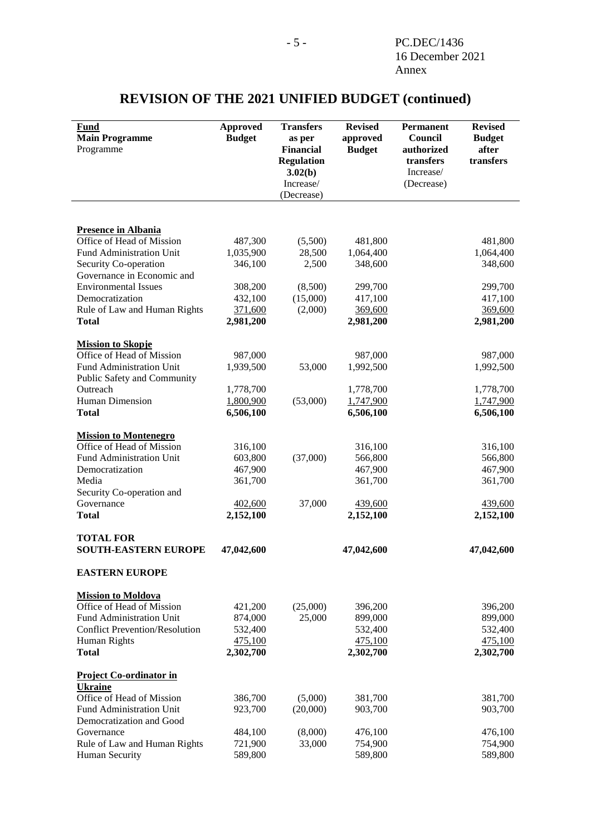| Fund                                           | <b>Approved</b>    | <b>Transfers</b>                      | <b>Revised</b>     | <b>Permanent</b>        | <b>Revised</b>     |
|------------------------------------------------|--------------------|---------------------------------------|--------------------|-------------------------|--------------------|
| <b>Main Programme</b>                          | <b>Budget</b>      | as per                                | approved           | Council                 | <b>Budget</b>      |
| Programme                                      |                    | <b>Financial</b><br><b>Regulation</b> | <b>Budget</b>      | authorized<br>transfers | after<br>transfers |
|                                                |                    | 3.02(b)                               |                    | Increase/               |                    |
|                                                |                    | Increase/                             |                    | (Decrease)              |                    |
|                                                |                    | (Decrease)                            |                    |                         |                    |
|                                                |                    |                                       |                    |                         |                    |
| <b>Presence in Albania</b>                     |                    |                                       |                    |                         |                    |
| Office of Head of Mission                      | 487,300            | (5,500)                               | 481,800            |                         | 481,800            |
| Fund Administration Unit                       | 1,035,900          | 28,500                                | 1,064,400          |                         | 1,064,400          |
| Security Co-operation                          | 346,100            | 2,500                                 | 348,600            |                         | 348,600            |
| Governance in Economic and                     |                    |                                       |                    |                         |                    |
| <b>Environmental Issues</b><br>Democratization | 308,200<br>432,100 | (8,500)<br>(15,000)                   | 299,700<br>417,100 |                         | 299,700<br>417,100 |
| Rule of Law and Human Rights                   | 371,600            | (2,000)                               | 369,600            |                         | 369,600            |
| <b>Total</b>                                   | 2,981,200          |                                       | 2,981,200          |                         | 2,981,200          |
|                                                |                    |                                       |                    |                         |                    |
| <b>Mission to Skopje</b>                       |                    |                                       |                    |                         |                    |
| Office of Head of Mission                      | 987,000            |                                       | 987,000            |                         | 987,000            |
| Fund Administration Unit                       | 1,939,500          | 53,000                                | 1,992,500          |                         | 1,992,500          |
| Public Safety and Community                    |                    |                                       |                    |                         |                    |
| Outreach                                       | 1,778,700          |                                       | 1,778,700          |                         | 1,778,700          |
| Human Dimension                                | 1,800,900          | (53,000)                              | 1,747,900          |                         | 1,747,900          |
| <b>Total</b>                                   | 6,506,100          |                                       | 6,506,100          |                         | 6,506,100          |
| <b>Mission to Montenegro</b>                   |                    |                                       |                    |                         |                    |
| Office of Head of Mission                      | 316,100            |                                       | 316,100            |                         | 316,100            |
| Fund Administration Unit                       | 603,800            | (37,000)                              | 566,800            |                         | 566,800            |
| Democratization                                | 467,900            |                                       | 467,900            |                         | 467,900            |
| Media                                          | 361,700            |                                       | 361,700            |                         | 361,700            |
| Security Co-operation and                      |                    |                                       |                    |                         |                    |
| Governance                                     | 402,600            | 37,000                                | 439,600            |                         | 439,600            |
| <b>Total</b>                                   | 2,152,100          |                                       | 2,152,100          |                         | 2,152,100          |
| <b>TOTAL FOR</b>                               |                    |                                       |                    |                         |                    |
| <b>SOUTH-EASTERN EUROPE</b>                    | 47,042,600         |                                       | 47,042,600         |                         | 47,042,600         |
|                                                |                    |                                       |                    |                         |                    |
| <b>EASTERN EUROPE</b>                          |                    |                                       |                    |                         |                    |
| <b>Mission to Moldova</b>                      |                    |                                       |                    |                         |                    |
| Office of Head of Mission                      | 421,200            | (25,000)                              | 396,200            |                         | 396,200            |
| <b>Fund Administration Unit</b>                | 874,000            | 25,000                                | 899,000            |                         | 899,000            |
| <b>Conflict Prevention/Resolution</b>          | 532,400            |                                       | 532,400            |                         | 532,400            |
| Human Rights                                   | 475,100            |                                       | 475,100            |                         | 475,100            |
| <b>Total</b>                                   | 2,302,700          |                                       | 2,302,700          |                         | 2,302,700          |
| <b>Project Co-ordinator in</b>                 |                    |                                       |                    |                         |                    |
| <b>Ukraine</b>                                 |                    |                                       |                    |                         |                    |
| Office of Head of Mission                      | 386,700            | (5,000)                               | 381,700            |                         | 381,700            |
| Fund Administration Unit                       | 923,700            | (20,000)                              | 903,700            |                         | 903,700            |
| Democratization and Good                       |                    |                                       |                    |                         |                    |
| Governance                                     | 484,100            | (8,000)                               | 476,100            |                         | 476,100            |
| Rule of Law and Human Rights                   | 721,900            | 33,000                                | 754,900            |                         | 754,900            |
| Human Security                                 | 589,800            |                                       | 589,800            |                         | 589,800            |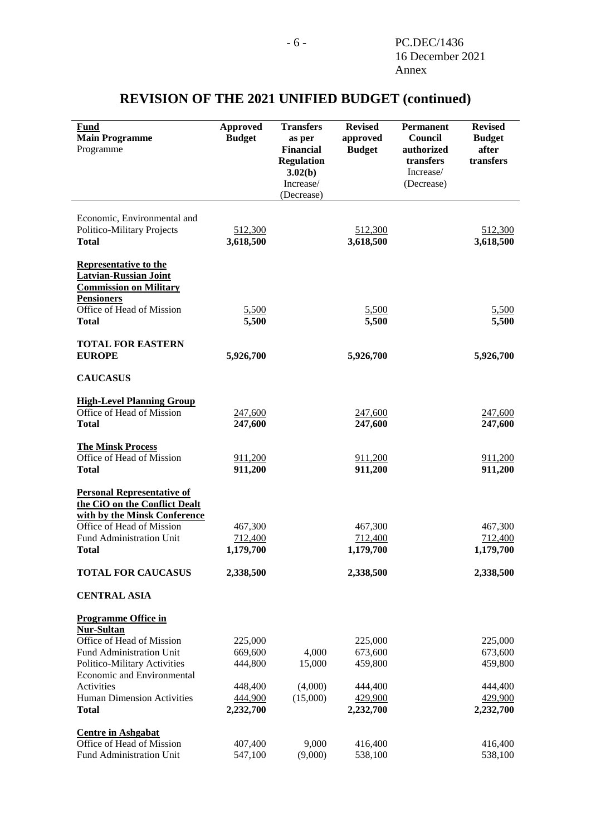| <b>Fund</b><br><b>Main Programme</b><br>Programme                                                  | <b>Approved</b><br><b>Budget</b> | <b>Transfers</b><br>as per<br><b>Financial</b><br><b>Regulation</b><br>3.02(b)<br>Increase/<br>(Decrease) | <b>Revised</b><br>approved<br><b>Budget</b> | <b>Permanent</b><br>Council<br>authorized<br>transfers<br>Increase/<br>(Decrease) | <b>Revised</b><br><b>Budget</b><br>after<br>transfers |
|----------------------------------------------------------------------------------------------------|----------------------------------|-----------------------------------------------------------------------------------------------------------|---------------------------------------------|-----------------------------------------------------------------------------------|-------------------------------------------------------|
| Economic, Environmental and<br><b>Politico-Military Projects</b><br><b>Total</b>                   | 512,300<br>3,618,500             |                                                                                                           | 512,300<br>3,618,500                        |                                                                                   | 512,300<br>3,618,500                                  |
| <b>Representative to the</b><br><b>Latvian-Russian Joint</b>                                       |                                  |                                                                                                           |                                             |                                                                                   |                                                       |
| <b>Commission on Military</b><br><b>Pensioners</b><br>Office of Head of Mission                    | 5,500                            |                                                                                                           | 5,500                                       |                                                                                   | 5,500                                                 |
| <b>Total</b>                                                                                       | 5,500                            |                                                                                                           | 5,500                                       |                                                                                   | 5,500                                                 |
| <b>TOTAL FOR EASTERN</b><br><b>EUROPE</b>                                                          | 5,926,700                        |                                                                                                           | 5,926,700                                   |                                                                                   | 5,926,700                                             |
| <b>CAUCASUS</b>                                                                                    |                                  |                                                                                                           |                                             |                                                                                   |                                                       |
| <b>High-Level Planning Group</b>                                                                   |                                  |                                                                                                           |                                             |                                                                                   |                                                       |
| Office of Head of Mission<br><b>Total</b>                                                          | 247,600<br>247,600               |                                                                                                           | 247,600<br>247,600                          |                                                                                   | 247,600<br>247,600                                    |
| <b>The Minsk Process</b><br>Office of Head of Mission                                              | 911,200                          |                                                                                                           | 911,200                                     |                                                                                   | 911,200                                               |
| <b>Total</b>                                                                                       | 911,200                          |                                                                                                           | 911,200                                     |                                                                                   | 911,200                                               |
| <b>Personal Representative of</b><br>the CiO on the Conflict Dealt<br>with by the Minsk Conference |                                  |                                                                                                           |                                             |                                                                                   |                                                       |
| Office of Head of Mission<br>Fund Administration Unit                                              | 467,300<br>712,400               |                                                                                                           | 467,300<br>712,400                          |                                                                                   | 467,300<br>712,400                                    |
| <b>Total</b>                                                                                       | 1,179,700                        |                                                                                                           | 1,179,700                                   |                                                                                   | 1,179,700                                             |
| <b>TOTAL FOR CAUCASUS</b>                                                                          | 2,338,500                        |                                                                                                           | 2,338,500                                   |                                                                                   | 2,338,500                                             |
| <b>CENTRAL ASIA</b>                                                                                |                                  |                                                                                                           |                                             |                                                                                   |                                                       |
| <b>Programme Office in</b>                                                                         |                                  |                                                                                                           |                                             |                                                                                   |                                                       |
| <b>Nur-Sultan</b><br>Office of Head of Mission                                                     | 225,000                          |                                                                                                           | 225,000                                     |                                                                                   | 225,000                                               |
| Fund Administration Unit                                                                           | 669,600                          | 4,000                                                                                                     | 673,600                                     |                                                                                   | 673,600                                               |
| Politico-Military Activities                                                                       | 444,800                          | 15,000                                                                                                    | 459,800                                     |                                                                                   | 459,800                                               |
| Economic and Environmental                                                                         |                                  |                                                                                                           |                                             |                                                                                   |                                                       |
| Activities<br><b>Human Dimension Activities</b>                                                    | 448,400<br>444,900               | (4,000)<br>(15,000)                                                                                       | 444,400<br>429,900                          |                                                                                   | 444,400<br>429,900                                    |
| <b>Total</b>                                                                                       | 2,232,700                        |                                                                                                           | 2,232,700                                   |                                                                                   | 2,232,700                                             |
| <b>Centre in Ashgabat</b>                                                                          |                                  |                                                                                                           |                                             |                                                                                   |                                                       |
| Office of Head of Mission                                                                          | 407,400                          | 9,000                                                                                                     | 416,400                                     |                                                                                   | 416,400                                               |
| Fund Administration Unit                                                                           | 547,100                          | (9,000)                                                                                                   | 538,100                                     |                                                                                   | 538,100                                               |